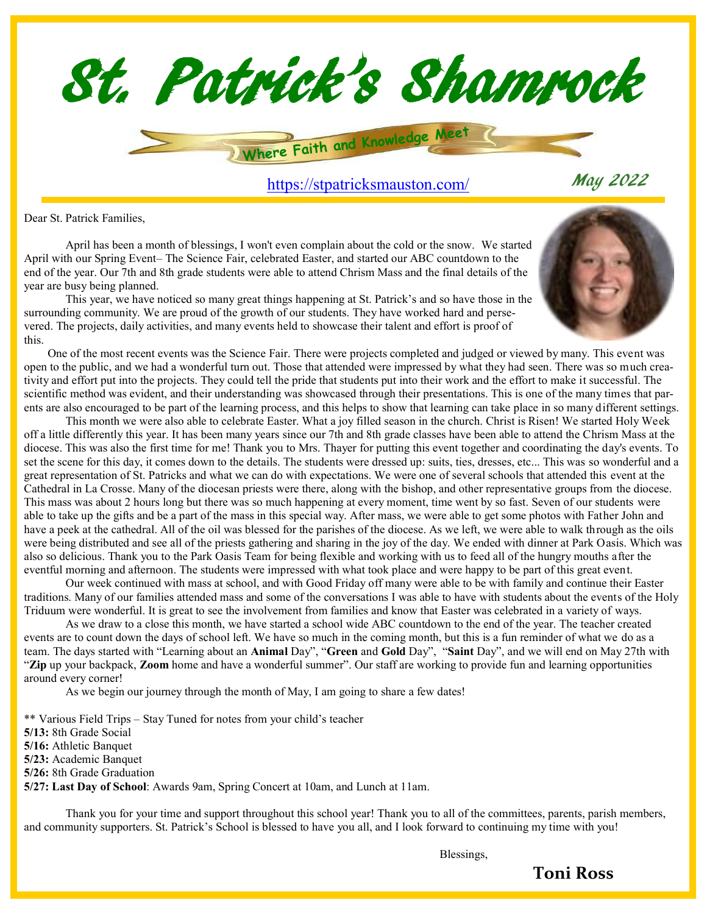

Dear St. Patrick Families,

April has been a month of blessings, I won't even complain about the cold or the snow. We started April with our Spring Event– The Science Fair, celebrated Easter, and started our ABC countdown to the end of the year. Our 7th and 8th grade students were able to attend Chrism Mass and the final details of the year are busy being planned.



This year, we have noticed so many great things happening at St. Patrick's and so have those in the surrounding community. We are proud of the growth of our students. They have worked hard and persevered. The projects, daily activities, and many events held to showcase their talent and effort is proof of this.

 One of the most recent events was the Science Fair. There were projects completed and judged or viewed by many. This event was open to the public, and we had a wonderful turn out. Those that attended were impressed by what they had seen. There was so much creativity and effort put into the projects. They could tell the pride that students put into their work and the effort to make it successful. The scientific method was evident, and their understanding was showcased through their presentations. This is one of the many times that parents are also encouraged to be part of the learning process, and this helps to show that learning can take place in so many different settings.

This month we were also able to celebrate Easter. What a joy filled season in the church. Christ is Risen! We started Holy Week off a little differently this year. It has been many years since our 7th and 8th grade classes have been able to attend the Chrism Mass at the diocese. This was also the first time for me! Thank you to Mrs. Thayer for putting this event together and coordinating the day's events. To set the scene for this day, it comes down to the details. The students were dressed up: suits, ties, dresses, etc... This was so wonderful and a great representation of St. Patricks and what we can do with expectations. We were one of several schools that attended this event at the Cathedral in La Crosse. Many of the diocesan priests were there, along with the bishop, and other representative groups from the diocese. This mass was about 2 hours long but there was so much happening at every moment, time went by so fast. Seven of our students were able to take up the gifts and be a part of the mass in this special way. After mass, we were able to get some photos with Father John and have a peek at the cathedral. All of the oil was blessed for the parishes of the diocese. As we left, we were able to walk through as the oils were being distributed and see all of the priests gathering and sharing in the joy of the day. We ended with dinner at Park Oasis. Which was also so delicious. Thank you to the Park Oasis Team for being flexible and working with us to feed all of the hungry mouths after the eventful morning and afternoon. The students were impressed with what took place and were happy to be part of this great event.

Our week continued with mass at school, and with Good Friday off many were able to be with family and continue their Easter traditions. Many of our families attended mass and some of the conversations I was able to have with students about the events of the Holy Triduum were wonderful. It is great to see the involvement from families and know that Easter was celebrated in a variety of ways.

As we draw to a close this month, we have started a school wide ABC countdown to the end of the year. The teacher created events are to count down the days of school left. We have so much in the coming month, but this is a fun reminder of what we do as a team. The days started with "Learning about an **Animal** Day", "**Green** and **Gold** Day", "**Saint** Day", and we will end on May 27th with "**Zip** up your backpack, **Zoom** home and have a wonderful summer". Our staff are working to provide fun and learning opportunities around every corner!

As we begin our journey through the month of May, I am going to share a few dates!

\*\* Various Field Trips – Stay Tuned for notes from your child's teacher

**5/13:** 8th Grade Social

**5/16:** Athletic Banquet

**5/23:** Academic Banquet

**5/26:** 8th Grade Graduation

**5/27: Last Day of School**: Awards 9am, Spring Concert at 10am, and Lunch at 11am.

Thank you for your time and support throughout this school year! Thank you to all of the committees, parents, parish members, and community supporters. St. Patrick's School is blessed to have you all, and I look forward to continuing my time with you!

Blessings,

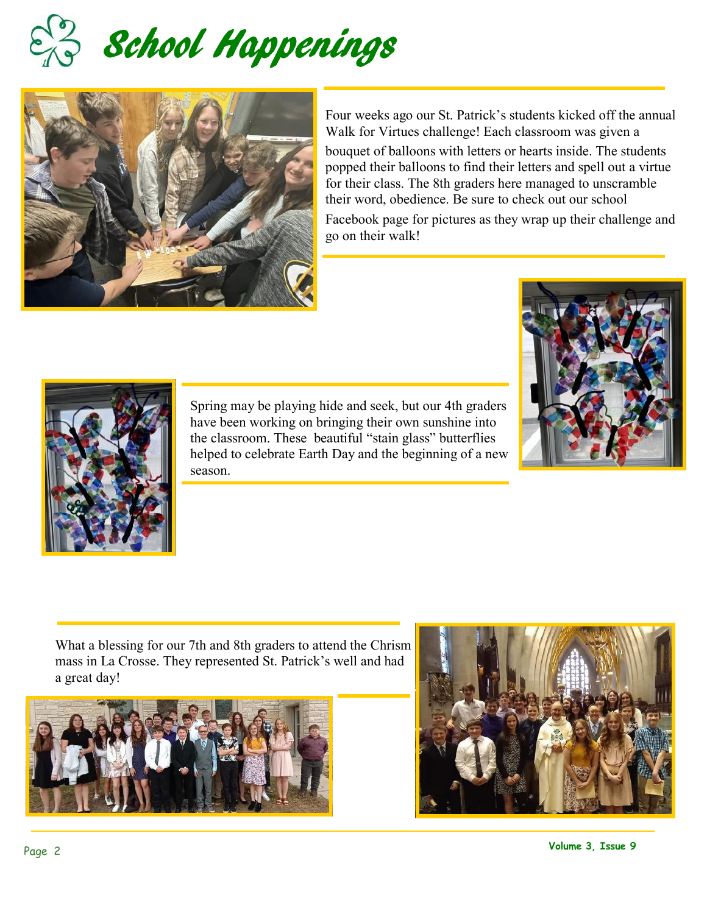



Four weeks ago our St. Patrick's students kicked off the annual Walk for Virtues challenge! Each classroom was given a

bouquet of balloons with letters or hearts inside. The students popped their balloons to find their letters and spell out a virtue for their class. The 8th graders here managed to unscramble their word, obedience. Be sure to check out our school Facebook page for pictures as they wrap up their challenge and go on their walk!



Spring may be playing hide and seek, but our 4th graders have been working on bringing their own sunshine into the classroom. These beautiful "stain glass" butterflies helped to celebrate Earth Day and the beginning of a new season.



What a blessing for our 7th and 8th graders to attend the Chrism mass in La Crosse. They represented St. Patrick's well and had a great day!



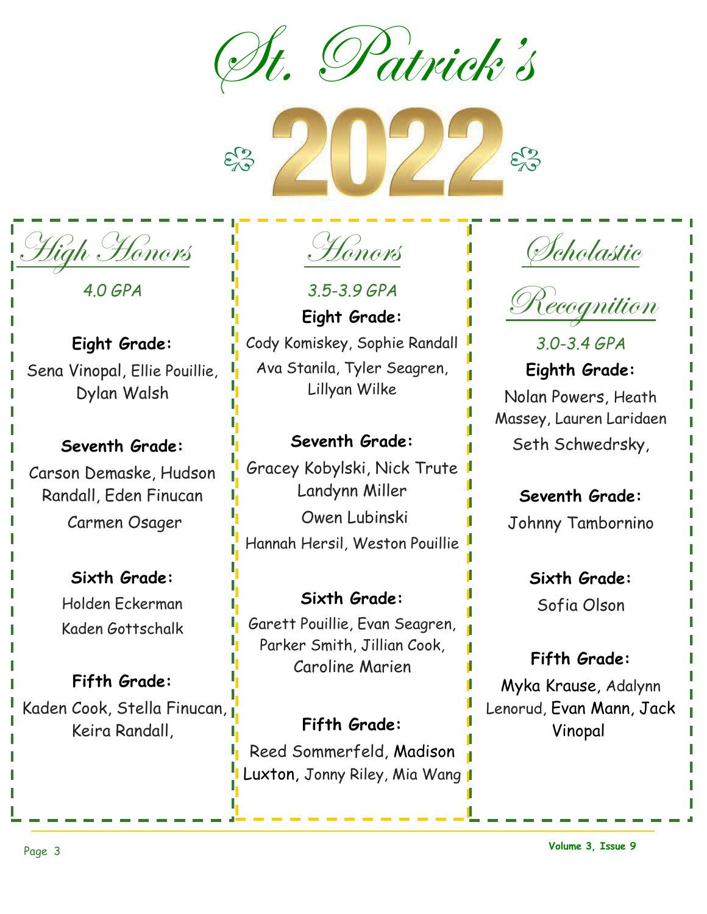St. Patrick's

High Honors

 *4.0 GPA*

**Eight Grade:**  Sena Vinopal, Ellie Pouillie, Dylan Walsh

## **Seventh Grade:** Carson Demaske, Hudson Randall, Eden Finucan Carmen Osager

**Sixth Grade:**  Holden Eckerman Kaden Gottschalk

**Fifth Grade:**  Kaden Cook, Stella Finucan, Keira Randall,

Honors

 $\mathcal{E}_{1}^{3}$ 

*3.5-3.9 GPA* **Eight Grade:**  Cody Komiskey, Sophie Randall Ava Stanila, Tyler Seagren, Lillyan Wilke

### **Seventh Grade:**

Gracey Kobylski, Nick Trute Landynn Miller Owen Lubinski Hannah Hersil, Weston Pouillie

**Sixth Grade:**  Garett Pouillie, Evan Seagren, Parker Smith, Jillian Cook, Caroline Marien

**Fifth Grade:**  Reed Sommerfeld, Madison Luxton, Jonny Riley, Mia Wang 1



 $\mathcal{E}_{\mathcal{S}}^{2}$ 



*3.0-3.4 GPA* **Eighth Grade:**  Nolan Powers, Heath Massey, Lauren Laridaen Seth Schwedrsky,

## **Seventh Grade:**

Johnny Tambornino

**Sixth Grade:** Sofia Olson

## **Fifth Grade:**

Myka Krause, Adalynn Lenorud, Evan Mann, Jack Vinopal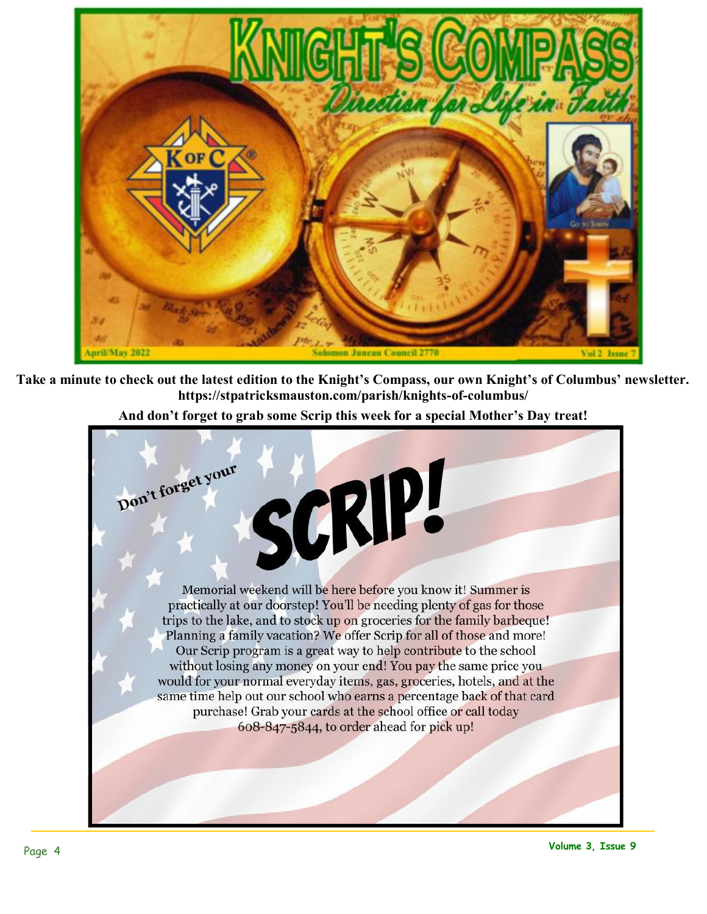

**Take a minute to check out the latest edition to the Knight's Compass, our own Knight's of Columbus' newsletter. https://stpatricksmauston.com/parish/knights-of-columbus/** 



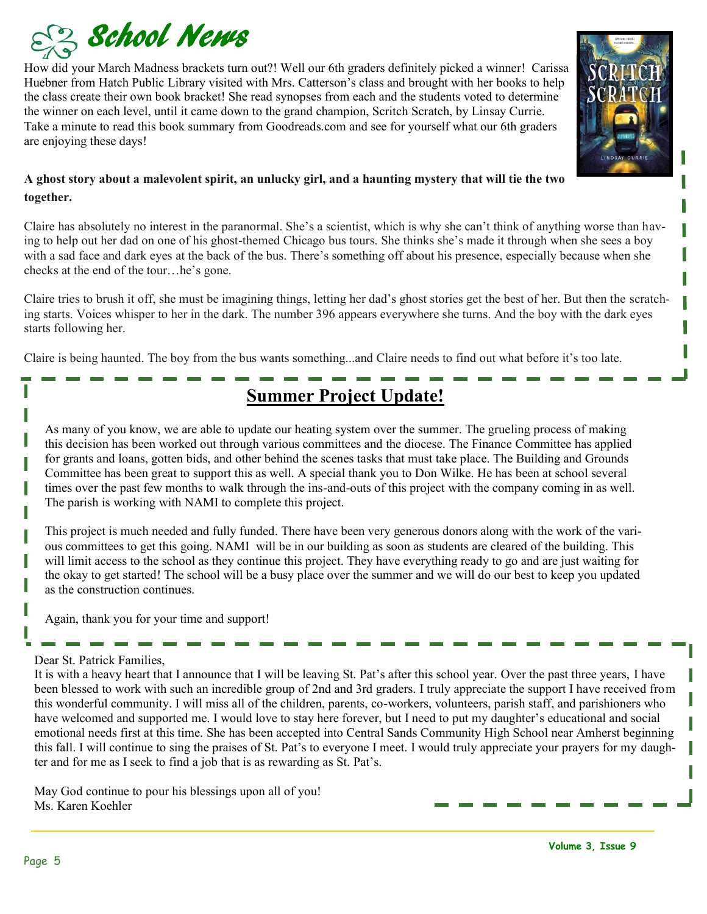

How did your March Madness brackets turn out?! Well our 6th graders definitely picked a winner! Carissa Huebner from Hatch Public Library visited with Mrs. Catterson's class and brought with her books to help the class create their own book bracket! She read synopses from each and the students voted to determine the winner on each level, until it came down to the grand champion, Scritch Scratch, by Linsay Currie. Take a minute to read this book summary from Goodreads.com and see for yourself what our 6th graders are enjoying these days!



#### **A ghost story about a malevolent spirit, an unlucky girl, and a haunting mystery that will tie the two together.**

Claire has absolutely no interest in the paranormal. She's a scientist, which is why she can't think of anything worse than having to help out her dad on one of his ghost-themed Chicago bus tours. She thinks she's made it through when she sees a boy with a sad face and dark eyes at the back of the bus. There's something off about his presence, especially because when she checks at the end of the tour…he's gone.

Claire tries to brush it off, she must be imagining things, letting her dad's ghost stories get the best of her. But then the scratching starts. Voices whisper to her in the dark. The number 396 appears everywhere she turns. And the boy with the dark eyes starts following her.

Claire is being haunted. The boy from the bus wants something...and Claire needs to find out what before it's too late.

# **Summer Project Update!**

As many of you know, we are able to update our heating system over the summer. The grueling process of making this decision has been worked out through various committees and the diocese. The Finance Committee has applied for grants and loans, gotten bids, and other behind the scenes tasks that must take place. The Building and Grounds Committee has been great to support this as well. A special thank you to Don Wilke. He has been at school several times over the past few months to walk through the ins-and-outs of this project with the company coming in as well. The parish is working with NAMI to complete this project.

This project is much needed and fully funded. There have been very generous donors along with the work of the various committees to get this going. NAMI will be in our building as soon as students are cleared of the building. This will limit access to the school as they continue this project. They have everything ready to go and are just waiting for the okay to get started! The school will be a busy place over the summer and we will do our best to keep you updated as the construction continues.

Again, thank you for your time and support!

#### Dear St. Patrick Families,

It is with a heavy heart that I announce that I will be leaving St. Pat's after this school year. Over the past three years, I have been blessed to work with such an incredible group of 2nd and 3rd graders. I truly appreciate the support I have received from this wonderful community. I will miss all of the children, parents, co-workers, volunteers, parish staff, and parishioners who have welcomed and supported me. I would love to stay here forever, but I need to put my daughter's educational and social emotional needs first at this time. She has been accepted into Central Sands Community High School near Amherst beginning this fall. I will continue to sing the praises of St. Pat's to everyone I meet. I would truly appreciate your prayers for my daughter and for me as I seek to find a job that is as rewarding as St. Pat's.

May God continue to pour his blessings upon all of you! Ms. Karen Koehler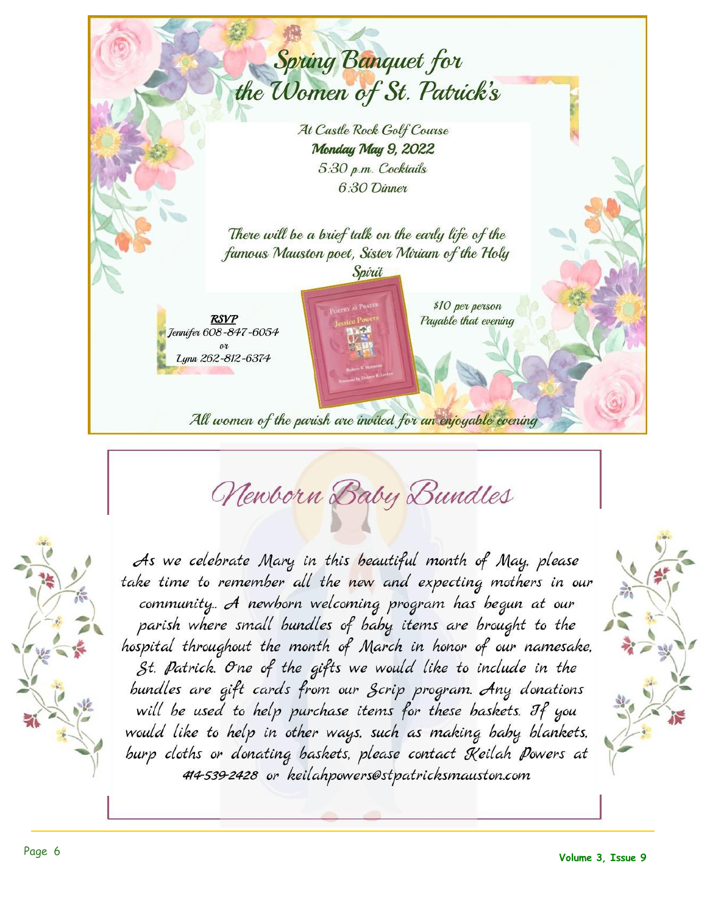

Newborn Baby Bundles

As we celebrate Mary in this beautiful month of May, please take time to remember all the new and expecting mothers in our community... A newborn welcoming program has begun at our parish where small bundles of baby items are brought to the hospital throughout the month of March in honor of our namesake, St. Patrick. One of the gifts we would like to include in the bundles are gift cards from our Scrip program. Any donations will be used to help purchase items for these baskets. If you would like to help in other ways, such as making baby blankets, burp cloths or donating baskets, please contact Keilah Powers at 414-539-2428 or keilahpowers@stpatricksmauston.com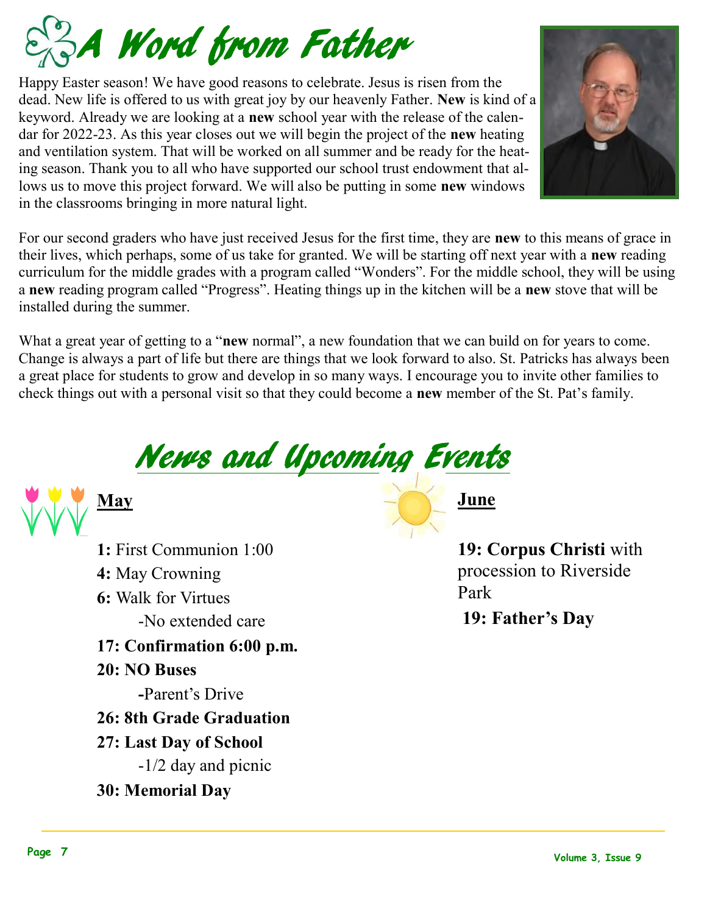

Happy Easter season! We have good reasons to celebrate. Jesus is risen from the dead. New life is offered to us with great joy by our heavenly Father. **New** is kind of a keyword. Already we are looking at a **new** school year with the release of the calendar for 2022-23. As this year closes out we will begin the project of the **new** heating and ventilation system. That will be worked on all summer and be ready for the heating season. Thank you to all who have supported our school trust endowment that allows us to move this project forward. We will also be putting in some **new** windows in the classrooms bringing in more natural light.



What a great year of getting to a "**new** normal", a new foundation that we can build on for years to come. Change is always a part of life but there are things that we look forward to also. St. Patricks has always been a great place for students to grow and develop in so many ways. I encourage you to invite other families to check things out with a personal visit so that they could become a **new** member of the St. Pat's family.





**1:** First Communion 1:00 **4:** May Crowning **6:** Walk for Virtues -No extended care **17: Confirmation 6:00 p.m. 20: NO Buses -**Parent's Drive **26: 8th Grade Graduation 27: Last Day of School** -1/2 day and picnic **30: Memorial Day**

**June**

**19: Corpus Christi** with procession to Riverside Park

**19: Father's Day**